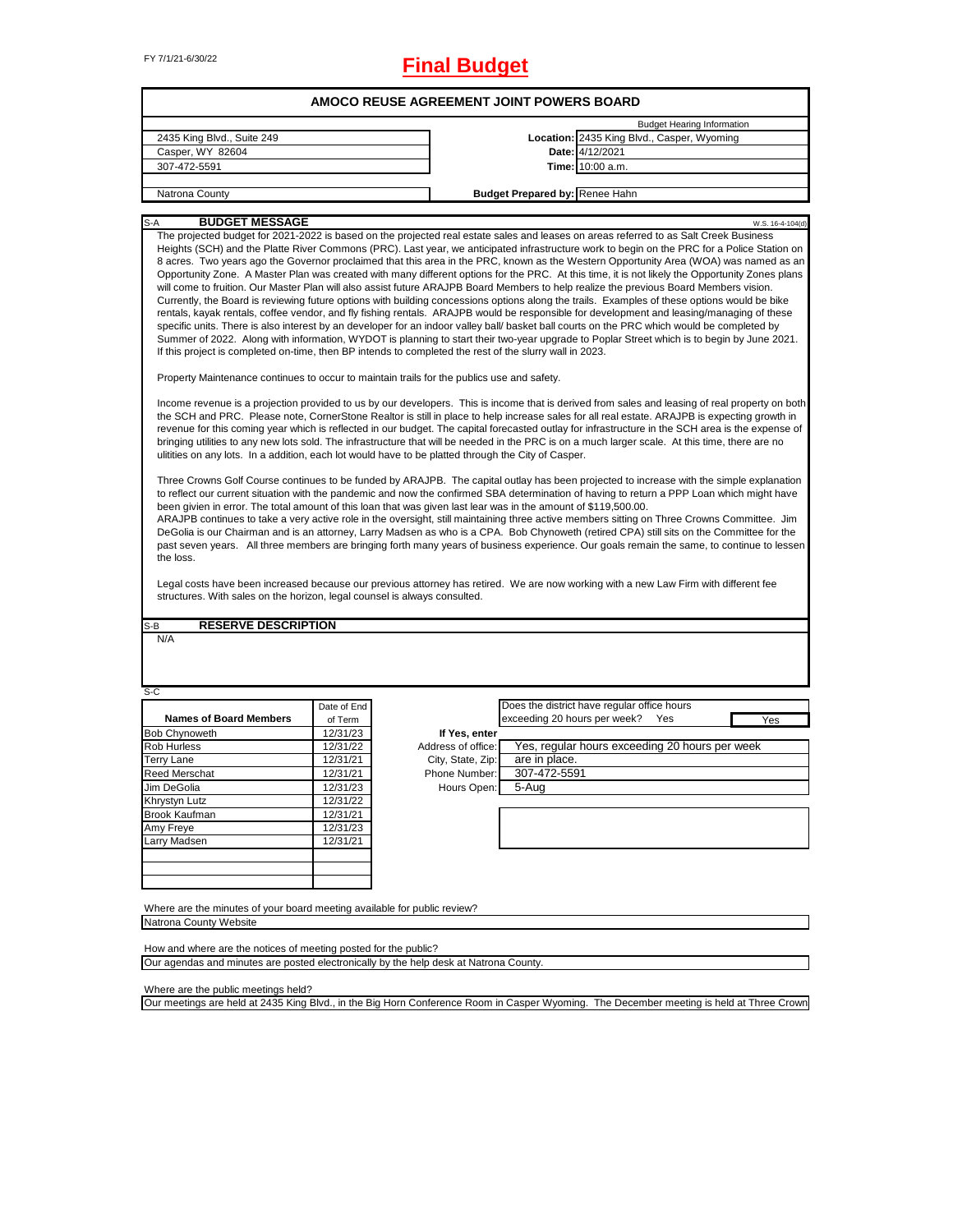| FY 7/1/21-6/30/22<br><b>Final Budget</b>                                                                                                                                                                                                                                                                                                                                                                                                                                                                                                                    |                                          |                   |                                       |                                                                                                                                                                                                                                                                                                                                                                                                                                                                                                                                                                                                                                                                                                                                                                                                                                                                                                                                                                                                                                                                                                                                                                                                                                                                                                                                                                                                                                                                                                                                                                                                                                                                                                                                                                                                                                                                                                                                                                                                                                                                                                                                                                                                                                                                                                                                                                                                                                                                                                                                                                                                                                                                                                                                                                                                               |                  |  |  |  |
|-------------------------------------------------------------------------------------------------------------------------------------------------------------------------------------------------------------------------------------------------------------------------------------------------------------------------------------------------------------------------------------------------------------------------------------------------------------------------------------------------------------------------------------------------------------|------------------------------------------|-------------------|---------------------------------------|---------------------------------------------------------------------------------------------------------------------------------------------------------------------------------------------------------------------------------------------------------------------------------------------------------------------------------------------------------------------------------------------------------------------------------------------------------------------------------------------------------------------------------------------------------------------------------------------------------------------------------------------------------------------------------------------------------------------------------------------------------------------------------------------------------------------------------------------------------------------------------------------------------------------------------------------------------------------------------------------------------------------------------------------------------------------------------------------------------------------------------------------------------------------------------------------------------------------------------------------------------------------------------------------------------------------------------------------------------------------------------------------------------------------------------------------------------------------------------------------------------------------------------------------------------------------------------------------------------------------------------------------------------------------------------------------------------------------------------------------------------------------------------------------------------------------------------------------------------------------------------------------------------------------------------------------------------------------------------------------------------------------------------------------------------------------------------------------------------------------------------------------------------------------------------------------------------------------------------------------------------------------------------------------------------------------------------------------------------------------------------------------------------------------------------------------------------------------------------------------------------------------------------------------------------------------------------------------------------------------------------------------------------------------------------------------------------------------------------------------------------------------------------------------------------------|------------------|--|--|--|
|                                                                                                                                                                                                                                                                                                                                                                                                                                                                                                                                                             | AMOCO REUSE AGREEMENT JOINT POWERS BOARD |                   |                                       |                                                                                                                                                                                                                                                                                                                                                                                                                                                                                                                                                                                                                                                                                                                                                                                                                                                                                                                                                                                                                                                                                                                                                                                                                                                                                                                                                                                                                                                                                                                                                                                                                                                                                                                                                                                                                                                                                                                                                                                                                                                                                                                                                                                                                                                                                                                                                                                                                                                                                                                                                                                                                                                                                                                                                                                                               |                  |  |  |  |
|                                                                                                                                                                                                                                                                                                                                                                                                                                                                                                                                                             |                                          |                   |                                       | <b>Budget Hearing Information</b>                                                                                                                                                                                                                                                                                                                                                                                                                                                                                                                                                                                                                                                                                                                                                                                                                                                                                                                                                                                                                                                                                                                                                                                                                                                                                                                                                                                                                                                                                                                                                                                                                                                                                                                                                                                                                                                                                                                                                                                                                                                                                                                                                                                                                                                                                                                                                                                                                                                                                                                                                                                                                                                                                                                                                                             |                  |  |  |  |
| 2435 King Blvd., Suite 249                                                                                                                                                                                                                                                                                                                                                                                                                                                                                                                                  |                                          |                   |                                       | Location: 2435 King Blvd., Casper, Wyoming                                                                                                                                                                                                                                                                                                                                                                                                                                                                                                                                                                                                                                                                                                                                                                                                                                                                                                                                                                                                                                                                                                                                                                                                                                                                                                                                                                                                                                                                                                                                                                                                                                                                                                                                                                                                                                                                                                                                                                                                                                                                                                                                                                                                                                                                                                                                                                                                                                                                                                                                                                                                                                                                                                                                                                    |                  |  |  |  |
| Casper, WY 82604                                                                                                                                                                                                                                                                                                                                                                                                                                                                                                                                            |                                          |                   |                                       | Date: 4/12/2021                                                                                                                                                                                                                                                                                                                                                                                                                                                                                                                                                                                                                                                                                                                                                                                                                                                                                                                                                                                                                                                                                                                                                                                                                                                                                                                                                                                                                                                                                                                                                                                                                                                                                                                                                                                                                                                                                                                                                                                                                                                                                                                                                                                                                                                                                                                                                                                                                                                                                                                                                                                                                                                                                                                                                                                               |                  |  |  |  |
| 307-472-5591                                                                                                                                                                                                                                                                                                                                                                                                                                                                                                                                                |                                          |                   |                                       | Time: 10:00 a.m.                                                                                                                                                                                                                                                                                                                                                                                                                                                                                                                                                                                                                                                                                                                                                                                                                                                                                                                                                                                                                                                                                                                                                                                                                                                                                                                                                                                                                                                                                                                                                                                                                                                                                                                                                                                                                                                                                                                                                                                                                                                                                                                                                                                                                                                                                                                                                                                                                                                                                                                                                                                                                                                                                                                                                                                              |                  |  |  |  |
| Natrona County                                                                                                                                                                                                                                                                                                                                                                                                                                                                                                                                              |                                          |                   | <b>Budget Prepared by: Renee Hahn</b> |                                                                                                                                                                                                                                                                                                                                                                                                                                                                                                                                                                                                                                                                                                                                                                                                                                                                                                                                                                                                                                                                                                                                                                                                                                                                                                                                                                                                                                                                                                                                                                                                                                                                                                                                                                                                                                                                                                                                                                                                                                                                                                                                                                                                                                                                                                                                                                                                                                                                                                                                                                                                                                                                                                                                                                                                               |                  |  |  |  |
|                                                                                                                                                                                                                                                                                                                                                                                                                                                                                                                                                             |                                          |                   |                                       |                                                                                                                                                                                                                                                                                                                                                                                                                                                                                                                                                                                                                                                                                                                                                                                                                                                                                                                                                                                                                                                                                                                                                                                                                                                                                                                                                                                                                                                                                                                                                                                                                                                                                                                                                                                                                                                                                                                                                                                                                                                                                                                                                                                                                                                                                                                                                                                                                                                                                                                                                                                                                                                                                                                                                                                                               |                  |  |  |  |
| <b>BUDGET MESSAGE</b><br>$S-A$<br>If this project is completed on-time, then BP intends to completed the rest of the slurry wall in 2023.<br>Property Maintenance continues to occur to maintain trails for the publics use and safety.<br>ulitities on any lots. In a addition, each lot would have to be platted through the City of Casper.<br>been givien in error. The total amount of this loan that was given last lear was in the amount of \$119,500.00.<br>the loss.<br>structures. With sales on the horizon, legal counsel is always consulted. |                                          |                   |                                       | The projected budget for 2021-2022 is based on the projected real estate sales and leases on areas referred to as Salt Creek Business<br>Heights (SCH) and the Platte River Commons (PRC). Last year, we anticipated infrastructure work to begin on the PRC for a Police Station on<br>8 acres. Two years ago the Governor proclaimed that this area in the PRC, known as the Western Opportunity Area (WOA) was named as an<br>Opportunity Zone. A Master Plan was created with many different options for the PRC. At this time, it is not likely the Opportunity Zones plans<br>will come to fruition. Our Master Plan will also assist future ARAJPB Board Members to help realize the previous Board Members vision.<br>Currently, the Board is reviewing future options with building concessions options along the trails. Examples of these options would be bike<br>rentals, kayak rentals, coffee vendor, and fly fishing rentals. ARAJPB would be responsible for development and leasing/managing of these<br>specific units. There is also interest by an developer for an indoor valley ball/ basket ball courts on the PRC which would be completed by<br>Summer of 2022. Along with information, WYDOT is planning to start their two-year upgrade to Poplar Street which is to begin by June 2021.<br>Income revenue is a projection provided to us by our developers. This is income that is derived from sales and leasing of real property on both<br>the SCH and PRC. Please note, CornerStone Realtor is still in place to help increase sales for all real estate. ARAJPB is expecting growth in<br>revenue for this coming year which is reflected in our budget. The capital forecasted outlay for infrastructure in the SCH area is the expense of<br>bringing utilities to any new lots sold. The infrastructure that will be needed in the PRC is on a much larger scale. At this time, there are no<br>Three Crowns Golf Course continues to be funded by ARAJPB. The capital outlay has been projected to increase with the simple explanation<br>to reflect our current situation with the pandemic and now the confirmed SBA determination of having to return a PPP Loan which might have<br>ARAJPB continues to take a very active role in the oversight, still maintaining three active members sitting on Three Crowns Committee. Jim<br>DeGolia is our Chairman and is an attorney, Larry Madsen as who is a CPA. Bob Chynoweth (retired CPA) still sits on the Committee for the<br>past seven years. All three members are bringing forth many years of business experience. Our goals remain the same, to continue to lessen<br>Legal costs have been increased because our previous attorney has retired. We are now working with a new Law Firm with different fee | W.S. 16-4-104(d) |  |  |  |
|                                                                                                                                                                                                                                                                                                                                                                                                                                                                                                                                                             |                                          |                   |                                       |                                                                                                                                                                                                                                                                                                                                                                                                                                                                                                                                                                                                                                                                                                                                                                                                                                                                                                                                                                                                                                                                                                                                                                                                                                                                                                                                                                                                                                                                                                                                                                                                                                                                                                                                                                                                                                                                                                                                                                                                                                                                                                                                                                                                                                                                                                                                                                                                                                                                                                                                                                                                                                                                                                                                                                                                               |                  |  |  |  |
| <b>RESERVE DESCRIPTION</b><br>S-B                                                                                                                                                                                                                                                                                                                                                                                                                                                                                                                           |                                          |                   |                                       |                                                                                                                                                                                                                                                                                                                                                                                                                                                                                                                                                                                                                                                                                                                                                                                                                                                                                                                                                                                                                                                                                                                                                                                                                                                                                                                                                                                                                                                                                                                                                                                                                                                                                                                                                                                                                                                                                                                                                                                                                                                                                                                                                                                                                                                                                                                                                                                                                                                                                                                                                                                                                                                                                                                                                                                                               |                  |  |  |  |
| N/A<br>S-C                                                                                                                                                                                                                                                                                                                                                                                                                                                                                                                                                  |                                          |                   |                                       |                                                                                                                                                                                                                                                                                                                                                                                                                                                                                                                                                                                                                                                                                                                                                                                                                                                                                                                                                                                                                                                                                                                                                                                                                                                                                                                                                                                                                                                                                                                                                                                                                                                                                                                                                                                                                                                                                                                                                                                                                                                                                                                                                                                                                                                                                                                                                                                                                                                                                                                                                                                                                                                                                                                                                                                                               |                  |  |  |  |
|                                                                                                                                                                                                                                                                                                                                                                                                                                                                                                                                                             | Date of End                              |                   |                                       | Does the district have regular office hours                                                                                                                                                                                                                                                                                                                                                                                                                                                                                                                                                                                                                                                                                                                                                                                                                                                                                                                                                                                                                                                                                                                                                                                                                                                                                                                                                                                                                                                                                                                                                                                                                                                                                                                                                                                                                                                                                                                                                                                                                                                                                                                                                                                                                                                                                                                                                                                                                                                                                                                                                                                                                                                                                                                                                                   |                  |  |  |  |
| <b>Names of Board Members</b>                                                                                                                                                                                                                                                                                                                                                                                                                                                                                                                               | of Term                                  |                   | exceeding 20 hours per week?          | Yes                                                                                                                                                                                                                                                                                                                                                                                                                                                                                                                                                                                                                                                                                                                                                                                                                                                                                                                                                                                                                                                                                                                                                                                                                                                                                                                                                                                                                                                                                                                                                                                                                                                                                                                                                                                                                                                                                                                                                                                                                                                                                                                                                                                                                                                                                                                                                                                                                                                                                                                                                                                                                                                                                                                                                                                                           | Yes              |  |  |  |
| <b>Bob Chynoweth</b>                                                                                                                                                                                                                                                                                                                                                                                                                                                                                                                                        | 12/31/23                                 | If Yes, enter     |                                       |                                                                                                                                                                                                                                                                                                                                                                                                                                                                                                                                                                                                                                                                                                                                                                                                                                                                                                                                                                                                                                                                                                                                                                                                                                                                                                                                                                                                                                                                                                                                                                                                                                                                                                                                                                                                                                                                                                                                                                                                                                                                                                                                                                                                                                                                                                                                                                                                                                                                                                                                                                                                                                                                                                                                                                                                               |                  |  |  |  |
| <b>Rob Hurless</b>                                                                                                                                                                                                                                                                                                                                                                                                                                                                                                                                          | 12/31/22                                 |                   |                                       | Address of office: Yes, regular hours exceeding 20 hours per week                                                                                                                                                                                                                                                                                                                                                                                                                                                                                                                                                                                                                                                                                                                                                                                                                                                                                                                                                                                                                                                                                                                                                                                                                                                                                                                                                                                                                                                                                                                                                                                                                                                                                                                                                                                                                                                                                                                                                                                                                                                                                                                                                                                                                                                                                                                                                                                                                                                                                                                                                                                                                                                                                                                                             |                  |  |  |  |
| <b>Terry Lane</b>                                                                                                                                                                                                                                                                                                                                                                                                                                                                                                                                           | 12/31/21                                 | City, State, Zip: | are in place.                         |                                                                                                                                                                                                                                                                                                                                                                                                                                                                                                                                                                                                                                                                                                                                                                                                                                                                                                                                                                                                                                                                                                                                                                                                                                                                                                                                                                                                                                                                                                                                                                                                                                                                                                                                                                                                                                                                                                                                                                                                                                                                                                                                                                                                                                                                                                                                                                                                                                                                                                                                                                                                                                                                                                                                                                                                               |                  |  |  |  |
| Reed Merschat                                                                                                                                                                                                                                                                                                                                                                                                                                                                                                                                               | 12/31/21                                 | Phone Number:     | 307-472-5591                          |                                                                                                                                                                                                                                                                                                                                                                                                                                                                                                                                                                                                                                                                                                                                                                                                                                                                                                                                                                                                                                                                                                                                                                                                                                                                                                                                                                                                                                                                                                                                                                                                                                                                                                                                                                                                                                                                                                                                                                                                                                                                                                                                                                                                                                                                                                                                                                                                                                                                                                                                                                                                                                                                                                                                                                                                               |                  |  |  |  |
| Jim DeGolia                                                                                                                                                                                                                                                                                                                                                                                                                                                                                                                                                 | 12/31/23                                 | Hours Open:       | 5-Aug                                 |                                                                                                                                                                                                                                                                                                                                                                                                                                                                                                                                                                                                                                                                                                                                                                                                                                                                                                                                                                                                                                                                                                                                                                                                                                                                                                                                                                                                                                                                                                                                                                                                                                                                                                                                                                                                                                                                                                                                                                                                                                                                                                                                                                                                                                                                                                                                                                                                                                                                                                                                                                                                                                                                                                                                                                                                               |                  |  |  |  |
| Khrystyn Lutz                                                                                                                                                                                                                                                                                                                                                                                                                                                                                                                                               | 12/31/22                                 |                   |                                       |                                                                                                                                                                                                                                                                                                                                                                                                                                                                                                                                                                                                                                                                                                                                                                                                                                                                                                                                                                                                                                                                                                                                                                                                                                                                                                                                                                                                                                                                                                                                                                                                                                                                                                                                                                                                                                                                                                                                                                                                                                                                                                                                                                                                                                                                                                                                                                                                                                                                                                                                                                                                                                                                                                                                                                                                               |                  |  |  |  |
| Brook Kaufman                                                                                                                                                                                                                                                                                                                                                                                                                                                                                                                                               | 12/31/21                                 |                   |                                       |                                                                                                                                                                                                                                                                                                                                                                                                                                                                                                                                                                                                                                                                                                                                                                                                                                                                                                                                                                                                                                                                                                                                                                                                                                                                                                                                                                                                                                                                                                                                                                                                                                                                                                                                                                                                                                                                                                                                                                                                                                                                                                                                                                                                                                                                                                                                                                                                                                                                                                                                                                                                                                                                                                                                                                                                               |                  |  |  |  |
| Amy Freye<br>Larry Madsen                                                                                                                                                                                                                                                                                                                                                                                                                                                                                                                                   | 12/31/23<br>12/31/21                     |                   |                                       |                                                                                                                                                                                                                                                                                                                                                                                                                                                                                                                                                                                                                                                                                                                                                                                                                                                                                                                                                                                                                                                                                                                                                                                                                                                                                                                                                                                                                                                                                                                                                                                                                                                                                                                                                                                                                                                                                                                                                                                                                                                                                                                                                                                                                                                                                                                                                                                                                                                                                                                                                                                                                                                                                                                                                                                                               |                  |  |  |  |
|                                                                                                                                                                                                                                                                                                                                                                                                                                                                                                                                                             |                                          |                   |                                       |                                                                                                                                                                                                                                                                                                                                                                                                                                                                                                                                                                                                                                                                                                                                                                                                                                                                                                                                                                                                                                                                                                                                                                                                                                                                                                                                                                                                                                                                                                                                                                                                                                                                                                                                                                                                                                                                                                                                                                                                                                                                                                                                                                                                                                                                                                                                                                                                                                                                                                                                                                                                                                                                                                                                                                                                               |                  |  |  |  |
| Where are the minutes of your board meeting available for public review?<br>Natrona County Website                                                                                                                                                                                                                                                                                                                                                                                                                                                          |                                          |                   |                                       |                                                                                                                                                                                                                                                                                                                                                                                                                                                                                                                                                                                                                                                                                                                                                                                                                                                                                                                                                                                                                                                                                                                                                                                                                                                                                                                                                                                                                                                                                                                                                                                                                                                                                                                                                                                                                                                                                                                                                                                                                                                                                                                                                                                                                                                                                                                                                                                                                                                                                                                                                                                                                                                                                                                                                                                                               |                  |  |  |  |
| How and where are the notices of meeting posted for the public?                                                                                                                                                                                                                                                                                                                                                                                                                                                                                             |                                          |                   |                                       |                                                                                                                                                                                                                                                                                                                                                                                                                                                                                                                                                                                                                                                                                                                                                                                                                                                                                                                                                                                                                                                                                                                                                                                                                                                                                                                                                                                                                                                                                                                                                                                                                                                                                                                                                                                                                                                                                                                                                                                                                                                                                                                                                                                                                                                                                                                                                                                                                                                                                                                                                                                                                                                                                                                                                                                                               |                  |  |  |  |
| Our agendas and minutes are posted electronically by the help desk at Natrona County.                                                                                                                                                                                                                                                                                                                                                                                                                                                                       |                                          |                   |                                       |                                                                                                                                                                                                                                                                                                                                                                                                                                                                                                                                                                                                                                                                                                                                                                                                                                                                                                                                                                                                                                                                                                                                                                                                                                                                                                                                                                                                                                                                                                                                                                                                                                                                                                                                                                                                                                                                                                                                                                                                                                                                                                                                                                                                                                                                                                                                                                                                                                                                                                                                                                                                                                                                                                                                                                                                               |                  |  |  |  |

Where are the public meetings held?

Our meetings are held at 2435 King Blvd., in the Big Horn Conference Room in Casper Wyoming. The December meeting is held at Three Crown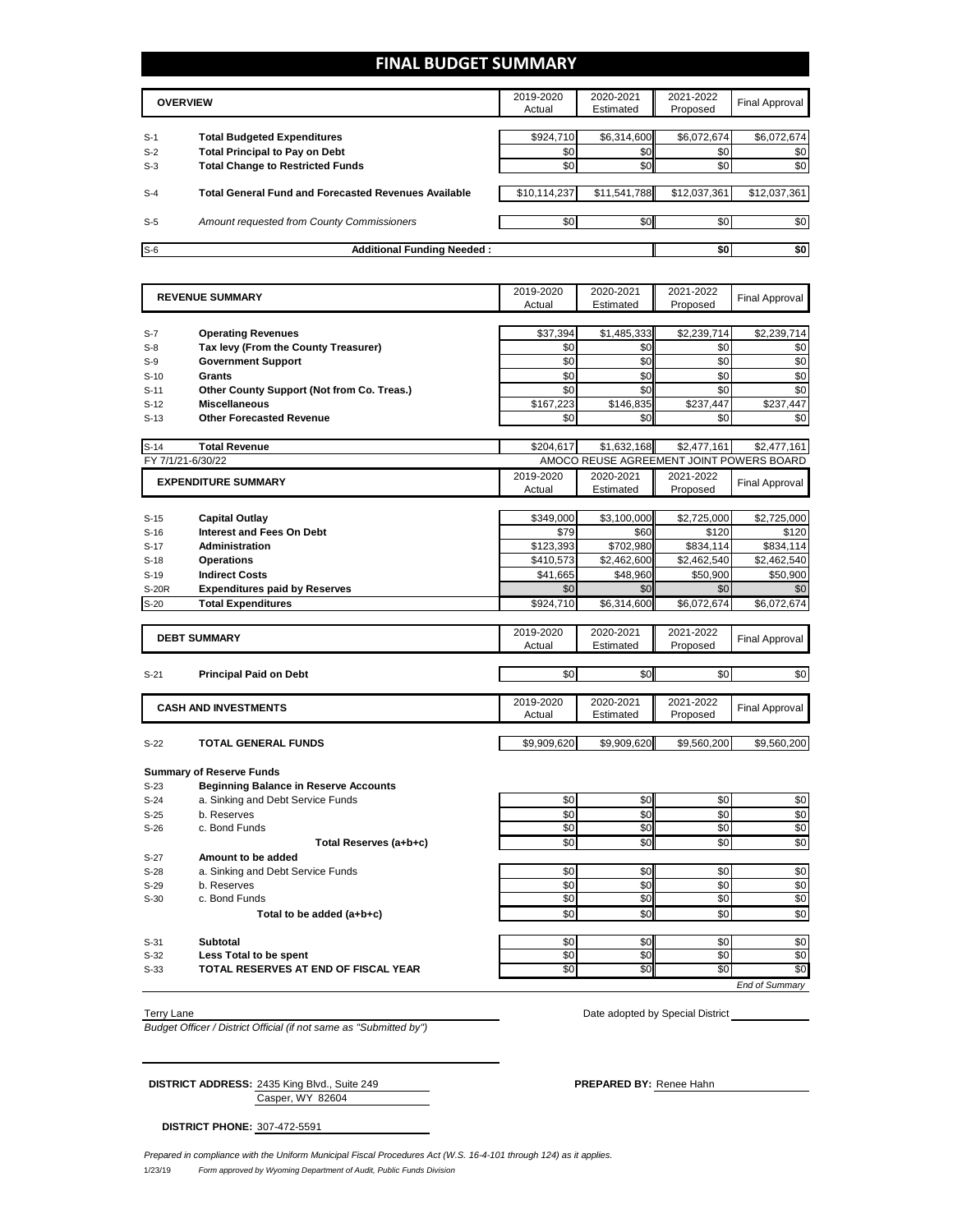### **FINAL BUDGET SUMMARY**

|       | <b>OVERVIEW</b>                                             | 2019-2020<br>Actual | 2020-2021<br>Estimated | 2021-2022<br>Proposed | Final Approval |
|-------|-------------------------------------------------------------|---------------------|------------------------|-----------------------|----------------|
|       |                                                             |                     |                        |                       |                |
| $S-1$ | <b>Total Budgeted Expenditures</b>                          | \$924,710           | \$6,314,600            | \$6,072,674           | \$6,072,674    |
| $S-2$ | <b>Total Principal to Pay on Debt</b>                       | \$0                 | \$0                    | \$0                   | \$0            |
| $S-3$ | <b>Total Change to Restricted Funds</b>                     | \$0                 | \$0                    | \$0                   | \$0            |
|       |                                                             |                     |                        |                       |                |
| $S-4$ | <b>Total General Fund and Forecasted Revenues Available</b> | \$10,114,237        | \$11,541,788           | \$12,037,361          | \$12,037,361   |
|       |                                                             |                     |                        |                       |                |
| $S-5$ | Amount requested from County Commissioners                  | \$0                 | \$0 <sub>1</sub>       | \$0                   | \$0            |
|       |                                                             |                     |                        |                       |                |
| $S-6$ | <b>Additional Funding Needed:</b>                           |                     |                        | \$0                   | \$0            |

|        | <b>REVENUE SUMMARY</b>                       |             | 2020-2021<br>Estimated                   | 2021-2022<br>Proposed | <b>Final Approval</b> |
|--------|----------------------------------------------|-------------|------------------------------------------|-----------------------|-----------------------|
|        |                                              | Actual      |                                          |                       |                       |
| $S-7$  | <b>Operating Revenues</b>                    | \$37,394    | \$1,485,333                              | \$2,239,714           | \$2,239,714           |
| $S-8$  | Tax levy (From the County Treasurer)         | \$0         | \$0                                      | \$0                   | \$0                   |
| $S-9$  | <b>Government Support</b>                    | \$0         | \$0                                      | \$0                   | \$0                   |
| $S-10$ | <b>Grants</b>                                | \$0         | \$0                                      | \$0                   | \$0                   |
| $S-11$ | Other County Support (Not from Co. Treas.)   | \$0         | \$0                                      | \$0                   | \$0                   |
| $S-12$ | <b>Miscellaneous</b>                         | \$167,223   | \$146,835                                | \$237,447             | \$237.447             |
| $S-13$ | <b>Other Forecasted Revenue</b>              | \$0         | \$0                                      | \$0                   | \$0                   |
|        |                                              |             |                                          |                       |                       |
| $S-14$ | <b>Total Revenue</b>                         | \$204,617   | \$1,632,168                              | \$2,477,161           | \$2,477,161           |
|        | FY 7/1/21-6/30/22                            |             | AMOCO REUSE AGREEMENT JOINT POWERS BOARD |                       |                       |
|        | <b>EXPENDITURE SUMMARY</b>                   | 2019-2020   | 2020-2021                                | 2021-2022             | <b>Final Approval</b> |
|        |                                              | Actual      | Estimated                                | Proposed              |                       |
|        |                                              |             |                                          |                       |                       |
| $S-15$ | <b>Capital Outlay</b>                        | \$349,000   | \$3,100,000                              | \$2,725,000           | \$2,725,000           |
| $S-16$ | Interest and Fees On Debt                    | \$79        | \$60                                     | \$120                 | \$120                 |
| $S-17$ | <b>Administration</b>                        | \$123,393   | \$702,980                                | \$834,114             | \$834,114             |
| $S-18$ | <b>Operations</b>                            | \$410,573   | \$2,462,600                              | \$2,462,540           | \$2,462,540           |
| $S-19$ | <b>Indirect Costs</b>                        | \$41,665    | \$48,960                                 | \$50.900              | \$50,900              |
| S-20R  | <b>Expenditures paid by Reserves</b>         | \$0         | \$0                                      | \$0                   | \$0                   |
| $S-20$ | <b>Total Expenditures</b>                    | \$924,710   | \$6,314,600                              | \$6,072,674           | \$6,072,674           |
|        |                                              | 2019-2020   | 2020-2021                                | 2021-2022             |                       |
|        | <b>DEBT SUMMARY</b>                          | Actual      | Estimated                                | Proposed              | <b>Final Approval</b> |
|        |                                              |             |                                          |                       |                       |
| $S-21$ | <b>Principal Paid on Debt</b>                | \$0         | \$0                                      | \$0                   | \$0                   |
|        |                                              |             |                                          |                       |                       |
|        | <b>CASH AND INVESTMENTS</b>                  | 2019-2020   | 2020-2021                                | 2021-2022             | <b>Final Approval</b> |
|        |                                              | Actual      | Estimated                                | Proposed              |                       |
| $S-22$ | <b>TOTAL GENERAL FUNDS</b>                   | \$9.909.620 | \$9.909.620                              | \$9.560.200           | \$9,560,200           |
|        |                                              |             |                                          |                       |                       |
|        | <b>Summary of Reserve Funds</b>              |             |                                          |                       |                       |
| $S-23$ | <b>Beginning Balance in Reserve Accounts</b> |             |                                          |                       |                       |
| $S-24$ | a. Sinking and Debt Service Funds            | \$0         | \$0                                      | \$0                   | \$0                   |
| $S-25$ | b. Reserves                                  | \$0         | \$0                                      | \$0                   | \$0                   |
| $S-26$ | c. Bond Funds                                | \$0         | \$0                                      | \$0                   | \$0                   |
|        | Total Reserves (a+b+c)                       | \$0         | \$0                                      | \$0                   | \$0                   |
| $S-27$ | Amount to be added                           |             |                                          |                       |                       |
| $S-28$ | a. Sinking and Debt Service Funds            | \$0         | \$0                                      | \$0                   | \$0                   |
| $S-29$ | b. Reserves                                  | \$0         | \$0                                      | \$0                   | \$0                   |
| $S-30$ | c. Bond Funds                                | \$0         | \$0                                      | \$0                   | \$0                   |
|        | Total to be added (a+b+c)                    | \$0         | \$0                                      | \$0                   | \$0                   |
|        |                                              |             |                                          |                       |                       |
| $S-31$ | <b>Subtotal</b>                              | \$0         | \$0                                      | \$0                   | \$0                   |
| $S-32$ | Less Total to be spent                       | \$0         | \$0                                      | \$0                   | \$0                   |
| $S-33$ | TOTAL RESERVES AT END OF FISCAL YEAR         | \$0         | \$0                                      | \$0                   | \$0                   |
|        |                                              |             |                                          |                       | <b>End of Summary</b> |

Terry Lane **Date adopted by Special District** 2014 **Date adopted by Special District** 

*Budget Officer / District Official (if not same as "Submitted by")*

Casper, WY 82604 **DISTRICT ADDRESS:** 2435 King Blvd., Suite 249 **PREPARED BY:** Renee Hahn

**DISTRICT PHONE:** 307-472-5591

1/23/19 *Form approved by Wyoming Department of Audit, Public Funds Division Prepared in compliance with the Uniform Municipal Fiscal Procedures Act (W.S. 16-4-101 through 124) as it applies.*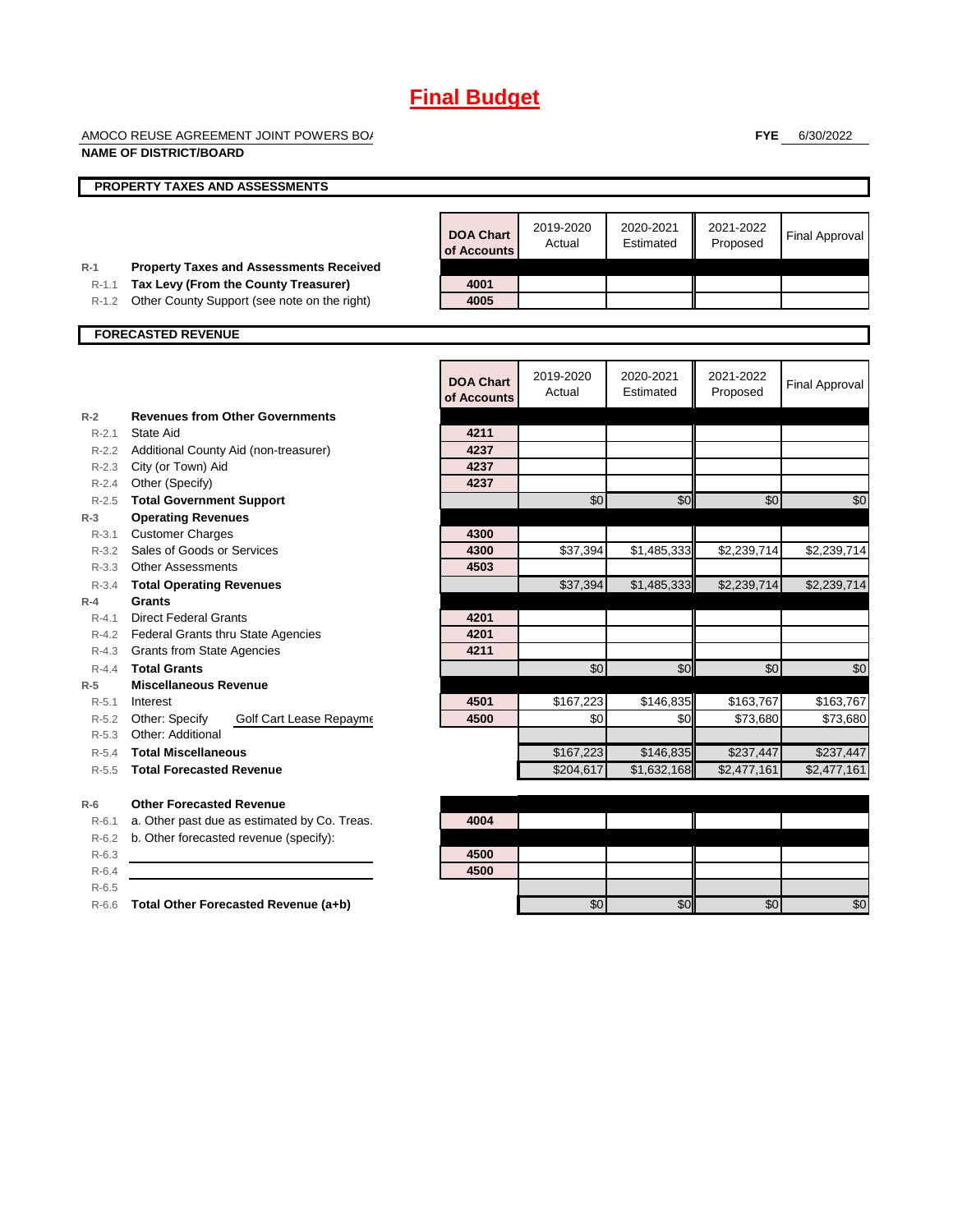AMOCO REUSE AGREEMENT JOINT POWERS BO/

**FYE** 6/30/2022

|                    | <b>NAME OF DISTRICT/BOARD</b>                                |                                 |                     |                         |                         |                       |
|--------------------|--------------------------------------------------------------|---------------------------------|---------------------|-------------------------|-------------------------|-----------------------|
|                    | PROPERTY TAXES AND ASSESSMENTS                               |                                 |                     |                         |                         |                       |
| $R-1$              | <b>Property Taxes and Assessments Received</b>               | <b>DOA Chart</b><br>of Accounts | 2019-2020<br>Actual | 2020-2021<br>Estimated  | 2021-2022<br>Proposed   | <b>Final Approval</b> |
| $R-1.1$            | Tax Levy (From the County Treasurer)                         | 4001                            |                     |                         |                         |                       |
| R-1.2              | Other County Support (see note on the right)                 | 4005                            |                     |                         |                         |                       |
|                    | <b>FORECASTED REVENUE</b>                                    |                                 |                     |                         |                         |                       |
|                    |                                                              |                                 |                     |                         |                         |                       |
|                    |                                                              | <b>DOA Chart</b><br>of Accounts | 2019-2020<br>Actual | 2020-2021<br>Estimated  | 2021-2022<br>Proposed   | <b>Final Approval</b> |
| $R-2$              | <b>Revenues from Other Governments</b>                       |                                 |                     |                         |                         |                       |
| $R - 2.1$          | State Aid                                                    | 4211                            |                     |                         |                         |                       |
|                    | R-2.2 Additional County Aid (non-treasurer)                  | 4237                            |                     |                         |                         |                       |
|                    | R-2.3 City (or Town) Aid                                     | 4237                            |                     |                         |                         |                       |
|                    | R-2.4 Other (Specify)                                        | 4237                            |                     |                         |                         |                       |
| $R - 2.5$<br>$R-3$ | <b>Total Government Support</b><br><b>Operating Revenues</b> |                                 | \$0                 | \$0                     | \$0                     | \$0                   |
| $R - 3.1$          | <b>Customer Charges</b>                                      | 4300                            |                     |                         |                         |                       |
| $R - 3.2$          | Sales of Goods or Services                                   | 4300                            | \$37,394            | \$1,485,333             | \$2,239,714             | \$2,239,714           |
|                    | R-3.3 Other Assessments                                      | 4503                            |                     |                         |                         |                       |
| $R - 3.4$          | <b>Total Operating Revenues</b>                              |                                 | \$37,394            | \$1,485,333             | \$2,239,714             | \$2,239,714           |
| $R-4$              | Grants                                                       |                                 |                     |                         |                         |                       |
| $R - 4.1$          | <b>Direct Federal Grants</b>                                 | 4201                            |                     |                         |                         |                       |
|                    | R-4.2 Federal Grants thru State Agencies                     | 4201                            |                     |                         |                         |                       |
|                    | R-4.3 Grants from State Agencies                             | 4211                            |                     |                         |                         |                       |
| $R - 4.4$          | <b>Total Grants</b>                                          |                                 | \$0                 | \$0                     | \$0                     | \$0                   |
| $R-5$              | <b>Miscellaneous Revenue</b>                                 |                                 |                     |                         |                         |                       |
| $R - 5.1$          | Interest                                                     | 4501                            | \$167,223           | \$146,835               | \$163,767               | \$163,767             |
|                    | R-5.2 Other: Specify<br>Golf Cart Lease Repayme              | 4500                            | \$0                 | \$0                     | \$73,680                | \$73,680              |
| $R-5.3$            | Other: Additional                                            |                                 |                     |                         |                         |                       |
| $R-5.4$            | <b>Total Miscellaneous</b>                                   |                                 | \$167,223           | \$146,835               | \$237,447               | \$237,447             |
| $R - 5.5$          | <b>Total Forecasted Revenue</b>                              |                                 | \$204,617           | $\overline{$}1,632,168$ | $\overline{$}2,477,161$ | \$2,477,161           |
| $R-6$              | <b>Other Forecasted Revenue</b>                              |                                 |                     |                         |                         |                       |
| $R-6.1$            | a. Other past due as estimated by Co. Treas.                 | 4004                            |                     |                         |                         |                       |
| $R-6.2$            | b. Other forecasted revenue (specify):                       |                                 |                     |                         |                         |                       |
| $R-6.3$            |                                                              | 4500                            |                     |                         |                         |                       |
| $R-6.4$            |                                                              | 4500                            |                     |                         |                         |                       |
| $R-6.5$            |                                                              |                                 |                     |                         |                         |                       |
| $R-6.6$            | Total Other Forecasted Revenue (a+b)                         |                                 | \$0                 | \$0                     | \$0                     | \$0                   |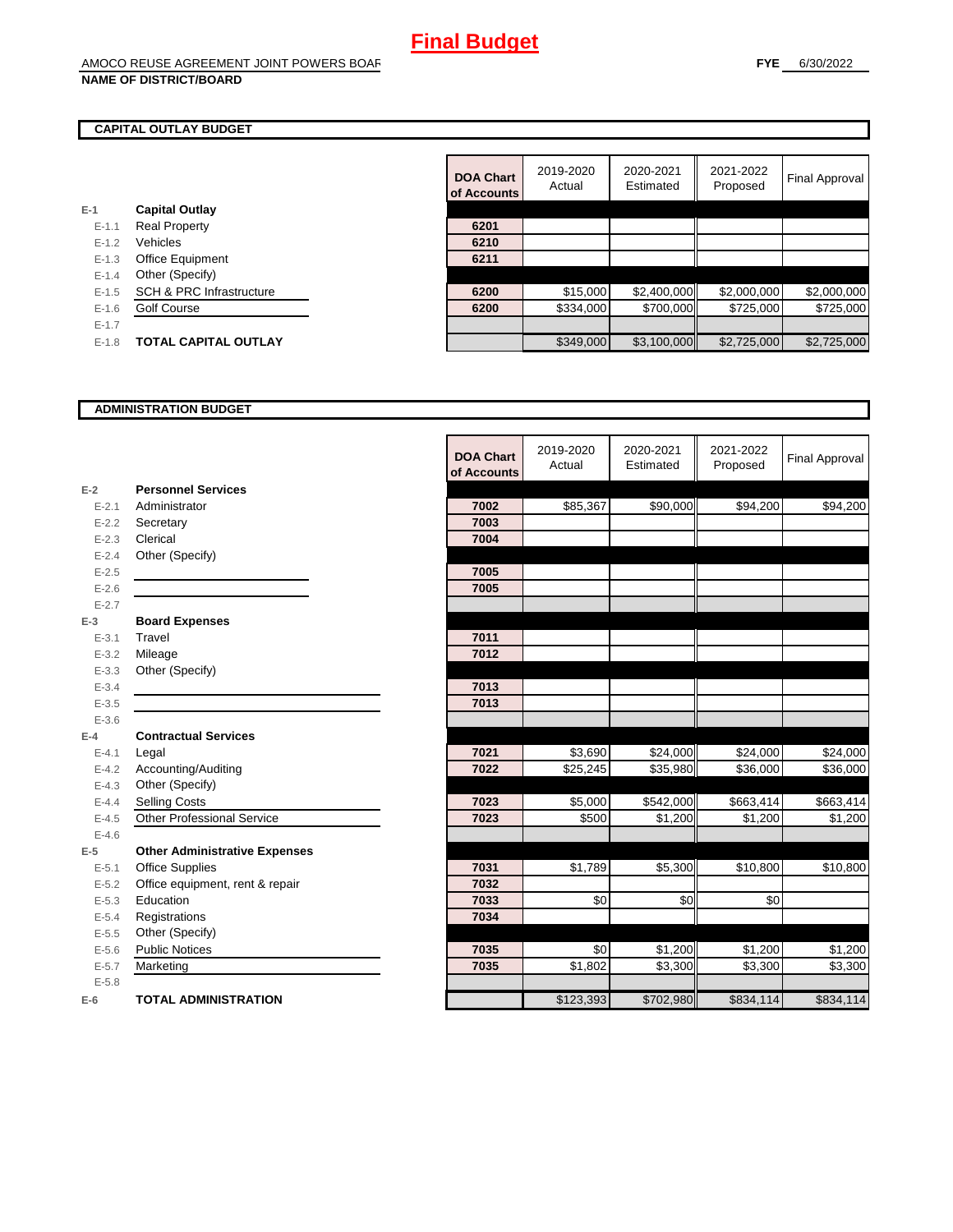#### **CAPITAL OUTLAY BUDGET**

| $E-1$     | <b>Capital Outlay</b>               |      |
|-----------|-------------------------------------|------|
| $E - 1.1$ | <b>Real Property</b>                | 6201 |
| $E - 1.2$ | Vehicles                            | 6210 |
| $E-1.3$   | <b>Office Equipment</b>             | 6211 |
| $E - 1.4$ | Other (Specify)                     |      |
| $E - 1.5$ | <b>SCH &amp; PRC Infrastructure</b> | 6200 |
| $E-1.6$   | <b>Golf Course</b>                  | 6200 |
| $E - 1.7$ |                                     |      |
| $E - 1.8$ | <b>TOTAL CAPITAL OUTLAY</b>         |      |
|           |                                     |      |

|           |                                     | <b>DOA Chart</b><br>of Accounts | 2019-2020<br>Actual | 2020-2021<br>Estimated | 2021-2022<br>Proposed | Final Approval |
|-----------|-------------------------------------|---------------------------------|---------------------|------------------------|-----------------------|----------------|
|           | <b>Capital Outlay</b>               |                                 |                     |                        |                       |                |
| $E - 1.1$ | <b>Real Property</b>                | 6201                            |                     |                        |                       |                |
| $E - 1.2$ | Vehicles                            | 6210                            |                     |                        |                       |                |
| $E - 1.3$ | <b>Office Equipment</b>             | 6211                            |                     |                        |                       |                |
| $E - 1.4$ | Other (Specify)                     |                                 |                     |                        |                       |                |
| $E-1.5$   | <b>SCH &amp; PRC Infrastructure</b> | 6200                            | \$15,000            | \$2,400,000            | \$2,000,000           | \$2,000,000    |
| $E - 1.6$ | <b>Golf Course</b>                  | 6200                            | \$334,000           | \$700,000              | \$725,000             | \$725,000      |
| $E - 1.7$ |                                     |                                 |                     |                        |                       |                |
| $E-1.8$   | <b>TOTAL CAPITAL OUTLAY</b>         |                                 | \$349,000           | \$3,100,000            | \$2,725,000           | \$2,725,000    |

#### **ADMINISTRATION BUDGET**

|           |                                      | <b>DOA Chart</b><br>of Accounts | 2019-2020<br>Actual | 2020-2021<br>Estimated | 2021-2022<br>Proposed | <b>Final Approval</b> |
|-----------|--------------------------------------|---------------------------------|---------------------|------------------------|-----------------------|-----------------------|
| $E-2$     | <b>Personnel Services</b>            |                                 |                     |                        |                       |                       |
| $E - 2.1$ | Administrator                        | 7002                            | \$85,367            | \$90,000               | \$94,200              | \$94,200              |
| $E - 2.2$ | Secretary                            | 7003                            |                     |                        |                       |                       |
| $E - 2.3$ | Clerical                             | 7004                            |                     |                        |                       |                       |
| $E - 2.4$ | Other (Specify)                      |                                 |                     |                        |                       |                       |
| $E-2.5$   |                                      | 7005                            |                     |                        |                       |                       |
| $E - 2.6$ |                                      | 7005                            |                     |                        |                       |                       |
| $E - 2.7$ |                                      |                                 |                     |                        |                       |                       |
| $E-3$     | <b>Board Expenses</b>                |                                 |                     |                        |                       |                       |
| $E - 3.1$ | Travel                               | 7011                            |                     |                        |                       |                       |
| $E - 3.2$ | Mileage                              | 7012                            |                     |                        |                       |                       |
| $E - 3.3$ | Other (Specify)                      |                                 |                     |                        |                       |                       |
| $E - 3.4$ |                                      | 7013                            |                     |                        |                       |                       |
| $E - 3.5$ |                                      | 7013                            |                     |                        |                       |                       |
| $E - 3.6$ |                                      |                                 |                     |                        |                       |                       |
| $E-4$     | <b>Contractual Services</b>          |                                 |                     |                        |                       |                       |
| $E - 4.1$ | Legal                                | 7021                            | \$3,690             | \$24,000               | \$24,000              | \$24,000              |
| $E - 4.2$ | Accounting/Auditing                  | 7022                            | \$25,245            | \$35,980               | \$36,000              | \$36,000              |
| $E - 4.3$ | Other (Specify)                      |                                 |                     |                        |                       |                       |
| $E - 4.4$ | <b>Selling Costs</b>                 | 7023                            | \$5,000             | \$542,000              | \$663,414             | \$663,414             |
| $E-4.5$   | <b>Other Professional Service</b>    | 7023                            | \$500               | \$1,200                | \$1,200               | \$1,200               |
| $E-4.6$   |                                      |                                 |                     |                        |                       |                       |
| $E-5$     | <b>Other Administrative Expenses</b> |                                 |                     |                        |                       |                       |
| $E - 5.1$ | <b>Office Supplies</b>               | 7031                            | \$1,789             | \$5,300                | \$10,800              | \$10,800              |
| $E - 5.2$ | Office equipment, rent & repair      | 7032                            |                     |                        |                       |                       |
| $E - 5.3$ | Education                            | 7033                            | \$0                 | \$0                    | \$0                   |                       |
| $E - 5.4$ | Registrations                        | 7034                            |                     |                        |                       |                       |
| $E - 5.5$ | Other (Specify)                      |                                 |                     |                        |                       |                       |
| $E-5.6$   | <b>Public Notices</b>                | 7035                            | \$0                 | \$1,200                | \$1,200               | \$1,200               |
| $E - 5.7$ | Marketing                            | 7035                            | $\overline{$}1,802$ | \$3,300                | \$3,300               | \$3,300               |
| $E - 5.8$ |                                      |                                 |                     |                        |                       |                       |
| $E-6$     | <b>TOTAL ADMINISTRATION</b>          |                                 | \$123,393           | \$702,980              | \$834,114             | \$834,114             |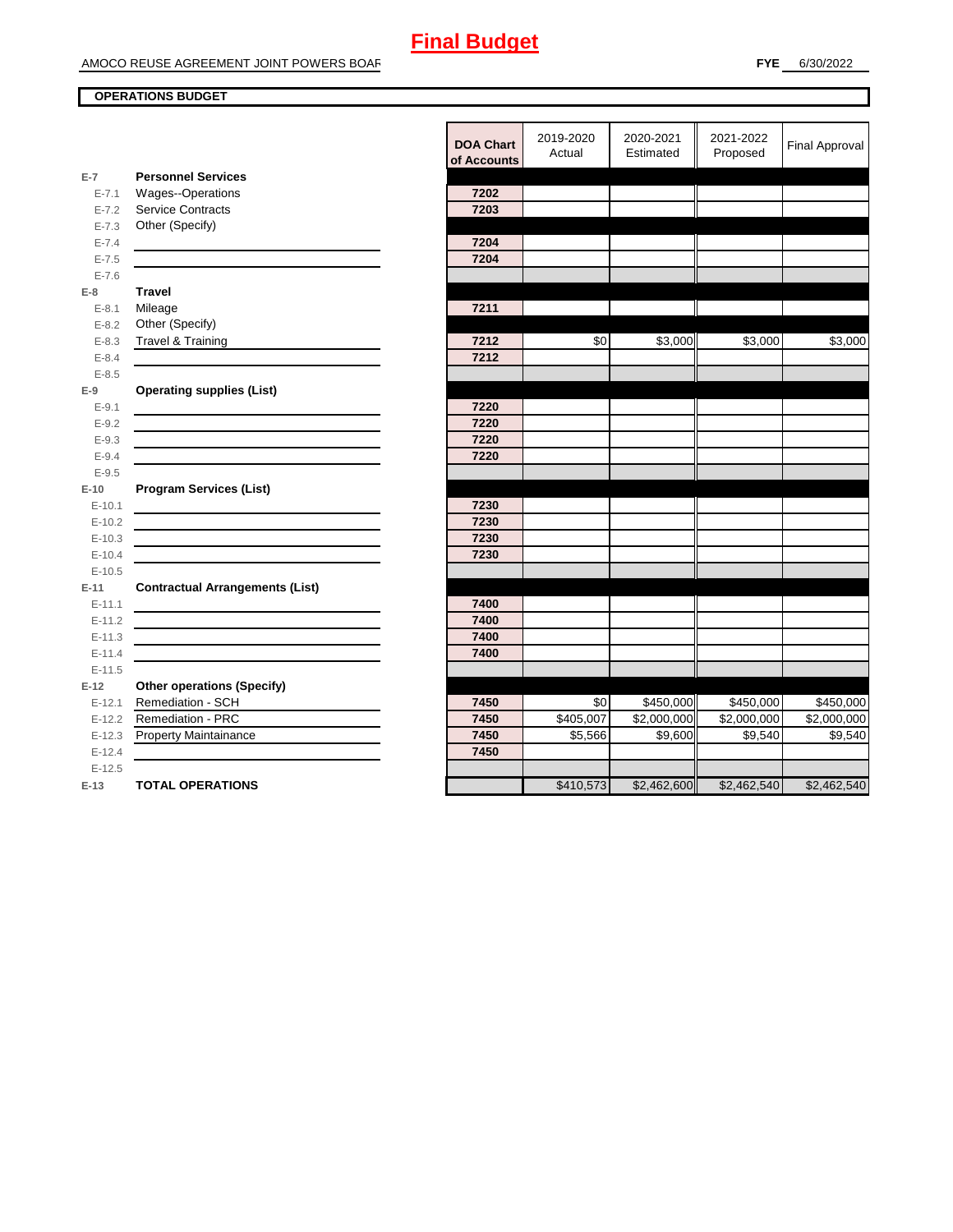#### **OPERATIONS BUDGET**

|                      |                                        | <b>DOA Chart</b><br>of Accounts | 2019-2020<br>Actual | 2020-2021<br>Estimated  | 2021-2022<br>Proposed | <b>Final Approval</b> |
|----------------------|----------------------------------------|---------------------------------|---------------------|-------------------------|-----------------------|-----------------------|
| $E-7$                | <b>Personnel Services</b>              |                                 |                     |                         |                       |                       |
| $E - 7.1$            | Wages--Operations                      | 7202                            |                     |                         |                       |                       |
| $E - 7.2$            | <b>Service Contracts</b>               | 7203                            |                     |                         |                       |                       |
| $E - 7.3$            | Other (Specify)                        |                                 |                     |                         |                       |                       |
| $E - 7.4$            |                                        | 7204                            |                     |                         |                       |                       |
| $E - 7.5$            |                                        | 7204                            |                     |                         |                       |                       |
| $E - 7.6$            |                                        |                                 |                     |                         |                       |                       |
| E-8                  | <b>Travel</b>                          |                                 |                     |                         |                       |                       |
| $E - 8.1$            | Mileage                                | 7211                            |                     |                         |                       |                       |
| $E - 8.2$            | Other (Specify)                        |                                 |                     |                         |                       |                       |
| $E - 8.3$            | <b>Travel &amp; Training</b>           | 7212                            | \$0                 | \$3,000                 | \$3,000               | \$3,000               |
| $E - 8.4$            |                                        | 7212                            |                     |                         |                       |                       |
| $E - 8.5$            |                                        |                                 |                     |                         |                       |                       |
| E-9                  | <b>Operating supplies (List)</b>       |                                 |                     |                         |                       |                       |
| $E - 9.1$            |                                        | 7220                            |                     |                         |                       |                       |
| $E - 9.2$            |                                        | 7220                            |                     |                         |                       |                       |
| $E - 9.3$            |                                        | 7220                            |                     |                         |                       |                       |
| $E - 9.4$            |                                        | 7220                            |                     |                         |                       |                       |
| $E - 9.5$            |                                        |                                 |                     |                         |                       |                       |
| $E-10$               | <b>Program Services (List)</b>         |                                 |                     |                         |                       |                       |
| $E-10.1$             |                                        | 7230                            |                     |                         |                       |                       |
| $E-10.2$             |                                        | 7230                            |                     |                         |                       |                       |
| $E-10.3$             |                                        | 7230                            |                     |                         |                       |                       |
| $E-10.4$<br>$E-10.5$ |                                        | 7230                            |                     |                         |                       |                       |
|                      |                                        |                                 |                     |                         |                       |                       |
| $E-11$               | <b>Contractual Arrangements (List)</b> |                                 |                     |                         |                       |                       |
| $E-11.1$<br>$E-11.2$ |                                        | 7400<br>7400                    |                     |                         |                       |                       |
| $E-11.3$             |                                        | 7400                            |                     |                         |                       |                       |
| $E-11.4$             |                                        | 7400                            |                     |                         |                       |                       |
| $E-11.5$             |                                        |                                 |                     |                         |                       |                       |
| $E-12$               | <b>Other operations (Specify)</b>      |                                 |                     |                         |                       |                       |
| $E-12.1$             | Remediation - SCH                      | 7450                            | \$0                 | \$450,000               | \$450,000             | \$450,000             |
| $E-12.2$             | <b>Remediation - PRC</b>               | 7450                            | \$405,007           | $\overline{$2,000,000}$ | \$2,000,000           | \$2,000,000           |
| $E-12.3$             | Property Maintainance                  | 7450                            | \$5,566             | \$9,600                 | \$9,540               | \$9,540               |
| $E-12.4$             |                                        | 7450                            |                     |                         |                       |                       |
| $E-12.5$             |                                        |                                 |                     |                         |                       |                       |
| E-13                 | <b>TOTAL OPERATIONS</b>                |                                 | \$410,573           | \$2,462,600             | \$2,462,540           | \$2,462,540           |
|                      |                                        |                                 |                     |                         |                       |                       |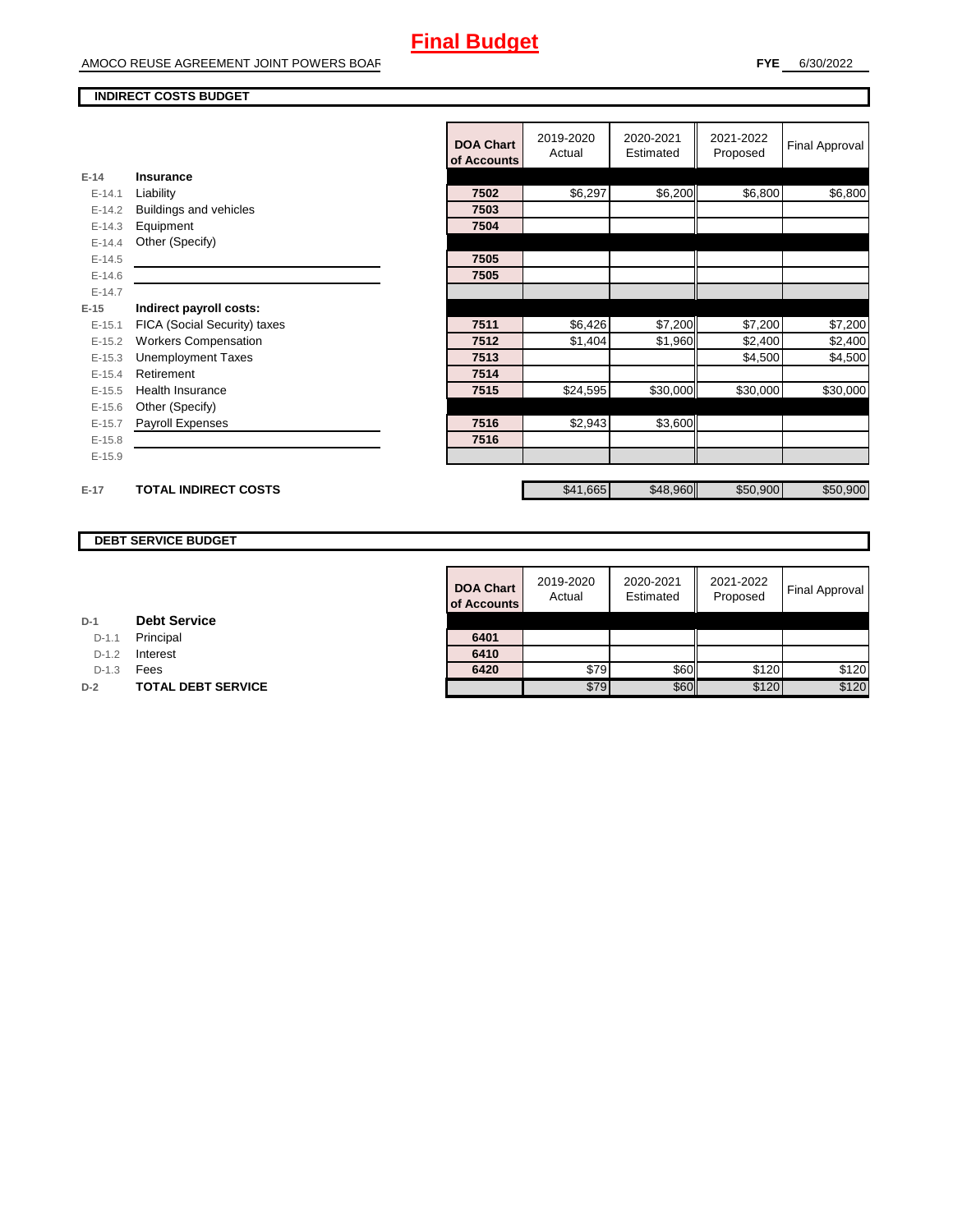#### **INDIRECT COSTS BUDGET**

|          |                              | <b>DOA Chart</b><br>of Accounts | 2019-2020<br>Actual | 2020-2021<br>Estimated | 2021-2022<br>Proposed | Final Approval |
|----------|------------------------------|---------------------------------|---------------------|------------------------|-----------------------|----------------|
| $E-14$   | Insurance                    |                                 |                     |                        |                       |                |
| $E-14.1$ | Liability                    | 7502                            | \$6,297             | \$6,200                | \$6,800               | \$6,800        |
| $E-14.2$ | Buildings and vehicles       | 7503                            |                     |                        |                       |                |
| $E-14.3$ | Equipment                    | 7504                            |                     |                        |                       |                |
| $E-14.4$ | Other (Specify)              |                                 |                     |                        |                       |                |
| $E-14.5$ |                              | 7505                            |                     |                        |                       |                |
| $E-14.6$ |                              | 7505                            |                     |                        |                       |                |
| $E-14.7$ |                              |                                 |                     |                        |                       |                |
| $E-15$   | Indirect payroll costs:      |                                 |                     |                        |                       |                |
| $E-15.1$ | FICA (Social Security) taxes | 7511                            | \$6,426             | \$7,200                | \$7,200               | \$7,200        |
| $E-15.2$ | <b>Workers Compensation</b>  | 7512                            | \$1,404             | \$1,960                | \$2,400               | \$2,400        |
| $E-15.3$ | <b>Unemployment Taxes</b>    | 7513                            |                     |                        | \$4,500               | \$4,500        |
| $E-15.4$ | Retirement                   | 7514                            |                     |                        |                       |                |
| $E-15.5$ | <b>Health Insurance</b>      | 7515                            | \$24,595            | \$30,000               | \$30,000              | \$30,000       |
| $E-15.6$ | Other (Specify)              |                                 |                     |                        |                       |                |
| $E-15.7$ | Payroll Expenses             | 7516                            | \$2,943             | \$3,600                |                       |                |
| $E-15.8$ |                              | 7516                            |                     |                        |                       |                |
| $E-15.9$ |                              |                                 |                     |                        |                       |                |
|          |                              |                                 |                     |                        |                       |                |
| $E-17$   | <b>TOTAL INDIRECT COSTS</b>  |                                 | \$41,665            | \$48,960               | \$50,900              | \$50,900       |

#### **DEBT SERVICE BUDGET**

|         |                           | <b>DOA Chart</b><br>of Accounts | 2019-2020<br>Actual | 2020-2021<br>Estimated | 2021-2022<br>Proposed | Final Approval |
|---------|---------------------------|---------------------------------|---------------------|------------------------|-----------------------|----------------|
|         | <b>Debt Service</b>       |                                 |                     |                        |                       |                |
| $D-1.1$ | Principal                 | 6401                            |                     |                        |                       |                |
| $D-1.2$ | Interest                  | 6410                            |                     |                        |                       |                |
| $D-1.3$ | Fees                      | 6420                            | \$79                | <b>\$60</b>            | \$120                 | \$120          |
|         | <b>TOTAL DEBT SERVICE</b> |                                 | \$79                | \$60                   | \$120                 | \$120          |

**D-1 Debt Service** D-1.1 Principal

D-1.2 **Interest** 

**D-2 TOTAL DEBT SERVICE**